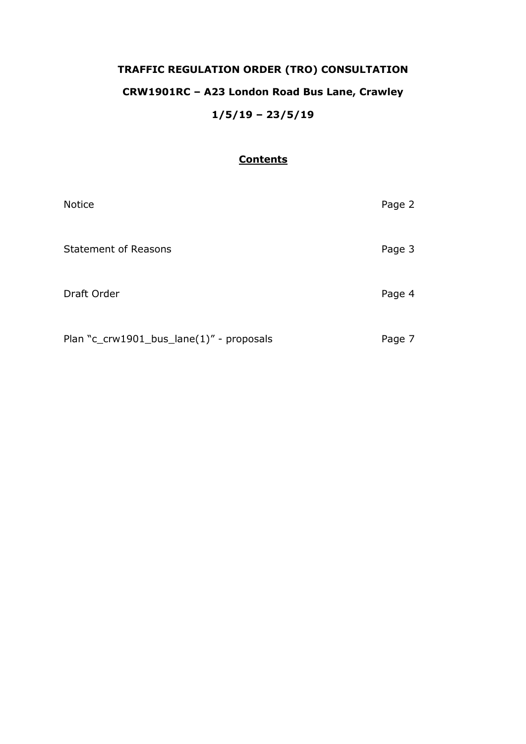# **TRAFFIC REGULATION ORDER (TRO) CONSULTATION CRW1901RC – A23 London Road Bus Lane, Crawley 1/5/19 – 23/5/19**

# <sup>U</sup>**Contents**

| <b>Notice</b>                            | Page 2 |
|------------------------------------------|--------|
| <b>Statement of Reasons</b>              | Page 3 |
| Draft Order                              | Page 4 |
| Plan "c_crw1901_bus_lane(1)" - proposals | Page 7 |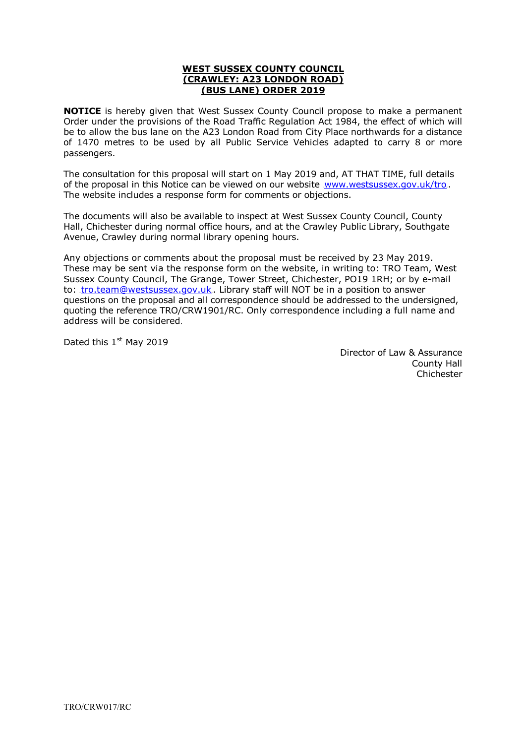#### <sup>U</sup>**WEST SUSSEX COUNTY COUNCIL**  <sup>U</sup>**(CRAWLEY: A23 LONDON ROAD)**  <sup>U</sup>**(BUS LANE) ORDER 2019**

**NOTICE** is hereby given that West Sussex County Council propose to make a permanent Order under the provisions of the Road Traffic Regulation Act 1984, the effect of which will be to allow the bus lane on the A23 London Road from City Place northwards for a distance of 1470 metres to be used by all Public Service Vehicles adapted to carry 8 or more passengers.

The consultation for this proposal will start on 1 May 2019 and, AT THAT TIME, full details of the proposal in this Notice can be viewed on our website [www.westsussex.gov.uk/tro](http://www.westsussex.gov.uk/tro). The website includes a response form for comments or objections.

The documents will also be available to inspect at West Sussex County Council, County Hall, Chichester during normal office hours, and at the Crawley Public Library, Southgate Avenue, Crawley during normal library opening hours.

Any objections or comments about the proposal must be received by 23 May 2019. These may be sent via the response form on the website, in writing to: TRO Team, West Sussex County Council, The Grange, Tower Street, Chichester, PO19 1RH; or by e-mail to: [tro.team@westsussex.gov.uk](mailto:tro.team@westsussex.gov.uk). Library staff will NOT be in a position to answer questions on the proposal and all correspondence should be addressed to the undersigned, quoting the reference TRO/CRW1901/RC. Only correspondence including a full name and address will be considered.

Dated this  $1<sup>st</sup>$  May 2019

 Director of Law & Assurance County Hall Chichester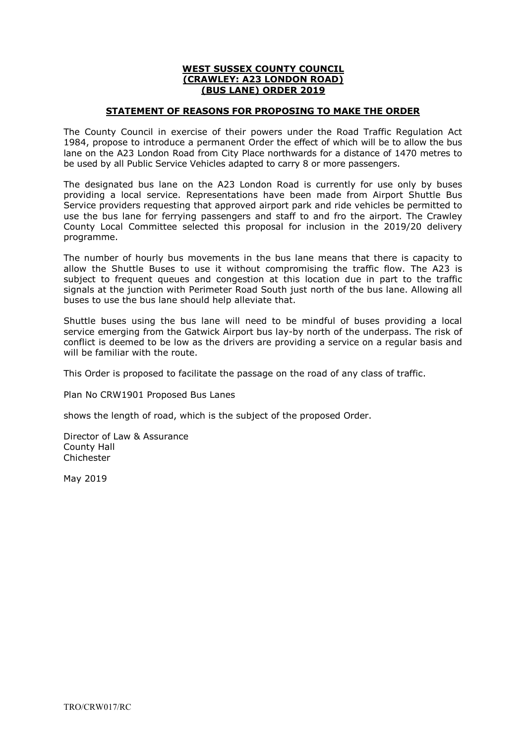#### <sup>U</sup>**WEST SUSSEX COUNTY COUNCIL**  <sup>U</sup>**(CRAWLEY: A23 LONDON ROAD)**  <sup>U</sup>**(BUS LANE) ORDER 2019**

# **STATEMENT OF REASONS FOR PROPOSING TO MAKE THE ORDER**

The County Council in exercise of their powers under the Road Traffic Regulation Act 1984, propose to introduce a permanent Order the effect of which will be to allow the bus lane on the A23 London Road from City Place northwards for a distance of 1470 metres to be used by all Public Service Vehicles adapted to carry 8 or more passengers.

The designated bus lane on the A23 London Road is currently for use only by buses providing a local service. Representations have been made from Airport Shuttle Bus Service providers requesting that approved airport park and ride vehicles be permitted to use the bus lane for ferrying passengers and staff to and fro the airport. The Crawley County Local Committee selected this proposal for inclusion in the 2019/20 delivery programme.

The number of hourly bus movements in the bus lane means that there is capacity to allow the Shuttle Buses to use it without compromising the traffic flow. The A23 is subject to frequent queues and congestion at this location due in part to the traffic signals at the junction with Perimeter Road South just north of the bus lane. Allowing all buses to use the bus lane should help alleviate that.

Shuttle buses using the bus lane will need to be mindful of buses providing a local service emerging from the Gatwick Airport bus lay-by north of the underpass. The risk of conflict is deemed to be low as the drivers are providing a service on a regular basis and will be familiar with the route.

This Order is proposed to facilitate the passage on the road of any class of traffic.

Plan No CRW1901 Proposed Bus Lanes

shows the length of road, which is the subject of the proposed Order.

Director of Law & Assurance County Hall Chichester

May 2019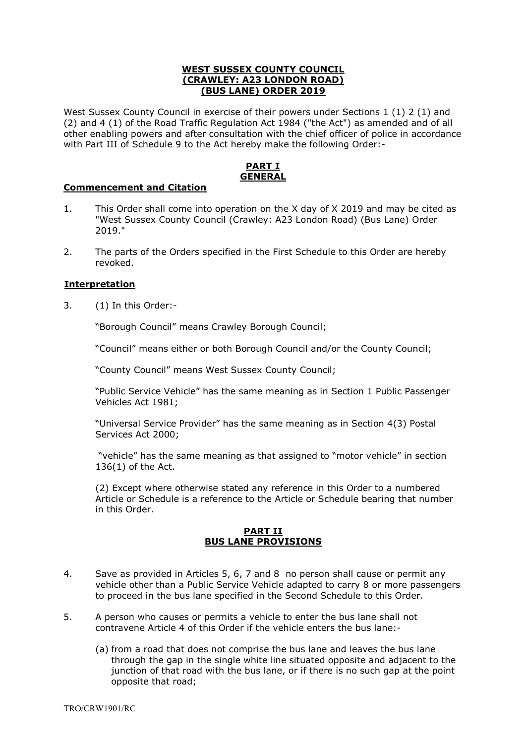# **WEST SUSSEX COUNTY COUNCIL** <sup>U</sup>**(CRAWLEY: A23 LONDON ROAD)**  <sup>U</sup>**(BUS LANE) ORDER 2019**

West Sussex County Council in exercise of their powers under Sections 1 (1) 2 (1) and (2) and 4 (1) of the Road Traffic Regulation Act 1984 ("the Act") as amended and of all other enabling powers and after consultation with the chief officer of police in accordance with Part III of Schedule 9 to the Act hereby make the following Order:-

# **PART I** <sup>U</sup>**GENERAL**

# **Commencement and Citation**

- 1. This Order shall come into operation on the X day of X 2019 and may be cited as "West Sussex County Council (Crawley: A23 London Road) (Bus Lane) Order 2019."
- 2. The parts of the Orders specified in the First Schedule to this Order are hereby revoked.

# <sup>U</sup>**Interpretation**

3. (1) In this Order:-

"Borough Council" means Crawley Borough Council;

"Council" means either or both Borough Council and/or the County Council;

"County Council" means West Sussex County Council;

"Public Service Vehicle" has the same meaning as in Section 1 Public Passenger Vehicles Act 1981;

"Universal Service Provider" has the same meaning as in Section 4(3) Postal Services Act 2000;

"vehicle" has the same meaning as that assigned to "motor vehicle" in section 136(1) of the Act.

(2) Except where otherwise stated any reference in this Order to a numbered Article or Schedule is a reference to the Article or Schedule bearing that number in this Order.

#### <sup>U</sup>**PART II** <sup>U</sup>**BUS LANE PROVISIONS**

- 4. Save as provided in Articles 5, 6, 7 and 8 no person shall cause or permit any vehicle other than a Public Service Vehicle adapted to carry 8 or more passengers to proceed in the bus lane specified in the Second Schedule to this Order.
- 5. A person who causes or permits a vehicle to enter the bus lane shall not contravene Article 4 of this Order if the vehicle enters the bus lane:-
	- (a) from a road that does not comprise the bus lane and leaves the bus lane through the gap in the single white line situated opposite and adjacent to the junction of that road with the bus lane, or if there is no such gap at the point opposite that road;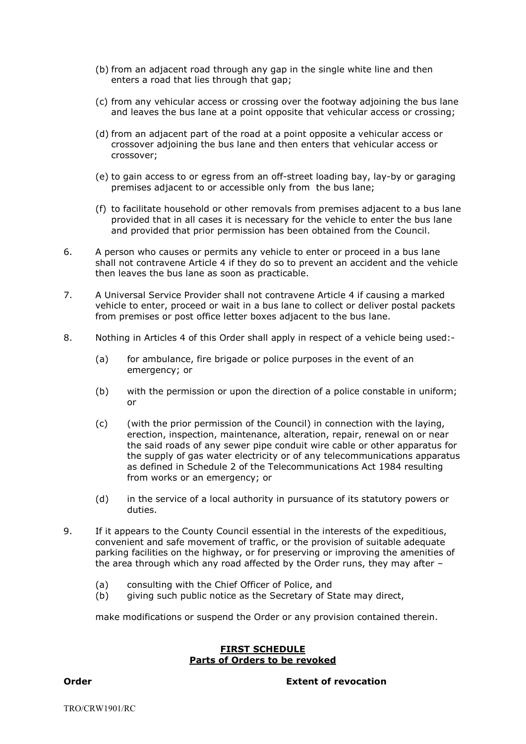- (b) from an adjacent road through any gap in the single white line and then enters a road that lies through that gap;
- (c) from any vehicular access or crossing over the footway adjoining the bus lane and leaves the bus lane at a point opposite that vehicular access or crossing;
- (d) from an adjacent part of the road at a point opposite a vehicular access or crossover adjoining the bus lane and then enters that vehicular access or crossover;
- (e) to gain access to or egress from an off-street loading bay, lay-by or garaging premises adjacent to or accessible only from the bus lane;
- (f) to facilitate household or other removals from premises adjacent to a bus lane provided that in all cases it is necessary for the vehicle to enter the bus lane and provided that prior permission has been obtained from the Council.
- 6. A person who causes or permits any vehicle to enter or proceed in a bus lane shall not contravene Article 4 if they do so to prevent an accident and the vehicle then leaves the bus lane as soon as practicable.
- 7. A Universal Service Provider shall not contravene Article 4 if causing a marked vehicle to enter, proceed or wait in a bus lane to collect or deliver postal packets from premises or post office letter boxes adjacent to the bus lane.
- 8. Nothing in Articles 4 of this Order shall apply in respect of a vehicle being used:-
	- (a) for ambulance, fire brigade or police purposes in the event of an emergency; or
	- (b) with the permission or upon the direction of a police constable in uniform; or
	- (c) (with the prior permission of the Council) in connection with the laying, erection, inspection, maintenance, alteration, repair, renewal on or near the said roads of any sewer pipe conduit wire cable or other apparatus for the supply of gas water electricity or of any telecommunications apparatus as defined in Schedule 2 of the Telecommunications Act 1984 resulting from works or an emergency; or
	- (d) in the service of a local authority in pursuance of its statutory powers or duties.
- 9. If it appears to the County Council essential in the interests of the expeditious, convenient and safe movement of traffic, or the provision of suitable adequate parking facilities on the highway, or for preserving or improving the amenities of the area through which any road affected by the Order runs, they may after –
	- (a) consulting with the Chief Officer of Police, and
	- (b) giving such public notice as the Secretary of State may direct,

make modifications or suspend the Order or any provision contained therein.

#### **FIRST SCHEDULE Parts of Orders to be revoked**

**Order Extent of revocation**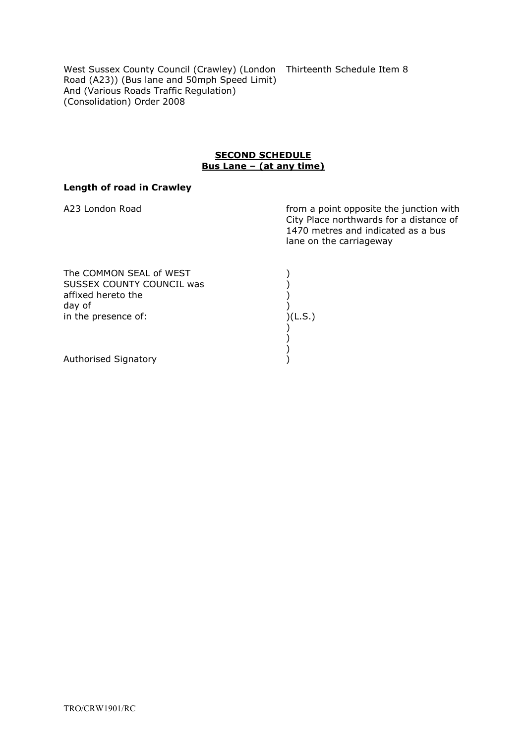West Sussex County Council (Crawley) (London Thirteenth Schedule Item 8 Road (A23)) (Bus lane and 50mph Speed Limit) And (Various Roads Traffic Regulation) (Consolidation) Order 2008

#### **SECOND SCHEDULE** Bus Lane – (at any time)

# **Length of road in Crawley**

A23 London Road **from a point opposite the junction with** City Place northwards for a distance of 1470 metres and indicated as a bus lane on the carriageway

| The COMMON SEAL of WEST   |         |
|---------------------------|---------|
| SUSSEX COUNTY COUNCIL was |         |
| affixed hereto the        |         |
| day of                    |         |
| in the presence of:       | )(L.S.) |
|                           |         |
|                           |         |
|                           |         |
| Authorised Signatory      |         |